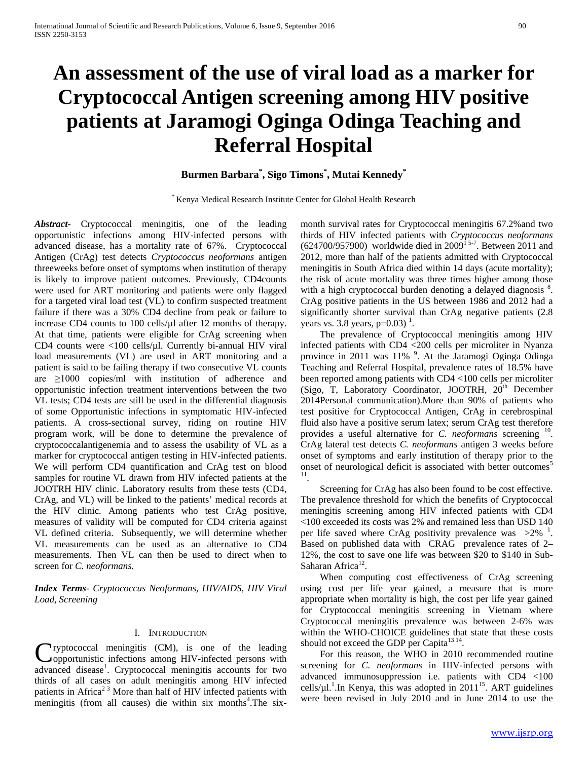# **An assessment of the use of viral load as a marker for Cryptococcal Antigen screening among HIV positive patients at Jaramogi Oginga Odinga Teaching and Referral Hospital**

# **Burmen Barbara\* , Sigo Timons\* , Mutai Kennedy\***

\* Kenya Medical Research Institute Center for Global Health Research

*Abstract***-** Cryptococcal meningitis, one of the leading opportunistic infections among HIV-infected persons with advanced disease, has a mortality rate of 67%. Cryptococcal Antigen (CrAg) test detects *Cryptococcus neoformans* antigen threeweeks before onset of symptoms when institution of therapy is likely to improve patient outcomes. Previously, CD4counts were used for ART monitoring and patients were only flagged for a targeted viral load test (VL) to confirm suspected treatment failure if there was a 30% CD4 decline from peak or failure to increase CD4 counts to 100 cells/ $\mu$ l after 12 months of therapy. At that time, patients were eligible for CrAg screening when CD4 counts were  $\langle 100 \text{ cells/}\mu$ l. Currently bi-annual HIV viral load measurements (VL) are used in ART monitoring and a patient is said to be failing therapy if two consecutive VL counts are  $\geq$ 1000 copies/ml with institution of adherence and opportunistic infection treatment interventions between the two VL tests; CD4 tests are still be used in the differential diagnosis of some Opportunistic infections in symptomatic HIV-infected patients. A cross-sectional survey, riding on routine HIV program work, will be done to determine the prevalence of cryptococcalantigenemia and to assess the usability of VL as a marker for cryptococcal antigen testing in HIV-infected patients. We will perform CD4 quantification and CrAg test on blood samples for routine VL drawn from HIV infected patients at the JOOTRH HIV clinic. Laboratory results from these tests (CD4, CrAg, and VL) will be linked to the patients' medical records at the HIV clinic. Among patients who test CrAg positive, measures of validity will be computed for CD4 criteria against VL defined criteria. Subsequently, we will determine whether VL measurements can be used as an alternative to CD4 measurements. Then VL can then be used to direct when to screen for *C. neoformans.*

*Index Terms*- *Cryptococcus Neoformans, HIV/AIDS, HIV Viral Load, Screening*

#### I. INTRODUCTION

ryptococcal meningitis (CM), is one of the leading opportunistic infections among HIV-infected persons with Cryptococcal meningitis (CM), is one of the leading opportunistic infections among HIV-infected persons with advanced disease<sup>1</sup>. Cryptococcal meningitis accounts for two thirds of all cases on adult meningitis among HIV infected patients in Africa<sup>23</sup> More than half of HIV infected patients with meningitis (from all causes) die within six months<sup>4</sup>. The sixmonth survival rates for Cryptococcal meningitis 67.2%and two thirds of HIV infected patients with *Cryptococcus neoformans*   $(624700/957900)$  worldwide died in 2009<sup>15-7</sup>. Between 2011 and 2012, more than half of the patients admitted with Cryptococcal meningitis in South Africa died within 14 days (acute mortality); the risk of acute mortality was three times higher among those with a high cryptococcal burden denoting a delayed diagnosis<sup>8</sup>. CrAg positive patients in the US between 1986 and 2012 had a significantly shorter survival than CrAg negative patients  $(2.8)$ years vs. 3.8 years,  $p=0.03$ )<sup>1</sup>.

 The prevalence of Cryptococcal meningitis among HIV infected patients with CD4 <200 cells per microliter in Nyanza province in 2011 was 11%<sup>9</sup>. At the Jaramogi Oginga Odinga Teaching and Referral Hospital, prevalence rates of 18.5% have been reported among patients with CD4 <100 cells per microliter (Sigo, T, Laboratory Coordinator, JOOTRH,  $20<sup>th</sup>$  December 2014Personal communication).More than 90% of patients who test positive for Cryptococcal Antigen, CrAg in cerebrospinal fluid also have a positive serum latex; serum CrAg test therefore provides a useful alternative for *C. neoformans* screening 10. CrAg lateral test detects *C. neoformans* antigen 3 weeks before onset of symptoms and early institution of therapy prior to the onset of neurological deficit is associated with better outcomes<sup>5</sup> 11.

 Screening for CrAg has also been found to be cost effective. The prevalence threshold for which the benefits of Cryptococcal meningitis screening among HIV infected patients with CD4 <100 exceeded its costs was 2% and remained less than USD 140 per life saved where CrAg positivity prevalence was  $>2\%$ <sup>1</sup>. Based on published data with CRAG prevalence rates of 2– 12%, the cost to save one life was between \$20 to \$140 in Sub-Saharan Africa<sup>12</sup>.

 When computing cost effectiveness of CrAg screening using cost per life year gained, a measure that is more appropriate when mortality is high, the cost per life year gained for Cryptococcal meningitis screening in Vietnam where Cryptococcal meningitis prevalence was between 2-6% was within the WHO-CHOICE guidelines that state that these costs should not exceed the GDP per Capita<sup>13 14</sup>.

 For this reason, the WHO in 2010 recommended routine screening for *C. neoformans* in HIV-infected persons with advanced immunosuppression i.e. patients with CD4 <100 cells/ $\mu$ 1.<sup>1</sup>. In Kenya, this was adopted in 2011<sup>15</sup>. ART guidelines were been revised in July 2010 and in June 2014 to use the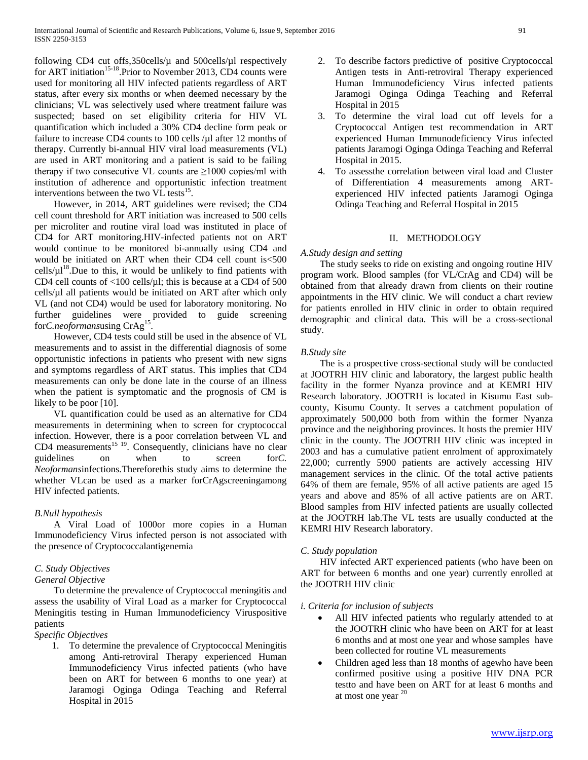following CD4 cut offs,350cells/µ and 500cells/µl respectively for ART initiation<sup>15-18</sup>.Prior to November 2013, CD4 counts were used for monitoring all HIV infected patients regardless of ART status, after every six months or when deemed necessary by the clinicians; VL was selectively used where treatment failure was suspected; based on set eligibility criteria for HIV VL quantification which included a 30% CD4 decline form peak or failure to increase CD4 counts to 100 cells / $\mu$ l after 12 months of therapy. Currently bi-annual HIV viral load measurements (VL) are used in ART monitoring and a patient is said to be failing therapy if two consecutive VL counts are  $\geq 1000$  copies/ml with institution of adherence and opportunistic infection treatment interventions between the two VL tests<sup>15</sup>.

 However, in 2014, ART guidelines were revised; the CD4 cell count threshold for ART initiation was increased to 500 cells per microliter and routine viral load was instituted in place of CD4 for ART monitoring.HIV-infected patients not on ART would continue to be monitored bi-annually using CD4 and would be initiated on ART when their CD4 cell count is<500  $\text{cells/}\mu\text{1}^{18}$ . Due to this, it would be unlikely to find patients with CD4 cell counts of  $\langle 100 \text{ cells/}\mu \rangle$ ; this is because at a CD4 of 500  $cells/µ$  all patients would be initiated on ART after which only VL (and not CD4) would be used for laboratory monitoring. No further guidelines were provided to guide screening for*C.neoformans*using CrAg<sup>15</sup>

 However, CD4 tests could still be used in the absence of VL measurements and to assist in the differential diagnosis of some opportunistic infections in patients who present with new signs and symptoms regardless of ART status. This implies that CD4 measurements can only be done late in the course of an illness when the patient is symptomatic and the prognosis of CM is likely to be poor [10].

 VL quantification could be used as an alternative for CD4 measurements in determining when to screen for cryptococcal infection. However, there is a poor correlation between VL and CD4 measurements<sup>15 19</sup>. Consequently, clinicians have no clear guidelines on when to screen for*C. Neoformans*infections*.*Thereforethis study aims to determine the whether VLcan be used as a marker forCrAgscreeningamong HIV infected patients.

## *B.Null hypothesis*

 A Viral Load of 1000or more copies in a Human Immunodeficiency Virus infected person is not associated with the presence of Cryptococcalantigenemia

## *C. Study Objectives*

## *General Objective*

 To determine the prevalence of Cryptococcal meningitis and assess the usability of Viral Load as a marker for Cryptococcal Meningitis testing in Human Immunodeficiency Viruspositive patients

## *Specific Objectives*

1. To determine the prevalence of Cryptococcal Meningitis among Anti-retroviral Therapy experienced Human Immunodeficiency Virus infected patients (who have been on ART for between 6 months to one year) at Jaramogi Oginga Odinga Teaching and Referral Hospital in 2015

- 2. To describe factors predictive of positive Cryptococcal Antigen tests in Anti-retroviral Therapy experienced Human Immunodeficiency Virus infected patients Jaramogi Oginga Odinga Teaching and Referral Hospital in 2015
- 3. To determine the viral load cut off levels for a Cryptococcal Antigen test recommendation in ART experienced Human Immunodeficiency Virus infected patients Jaramogi Oginga Odinga Teaching and Referral Hospital in 2015.
- 4. To assessthe correlation between viral load and Cluster of Differentiation 4 measurements among ARTexperienced HIV infected patients Jaramogi Oginga Odinga Teaching and Referral Hospital in 2015

## II. METHODOLOGY

## *A.Study design and setting*

 The study seeks to ride on existing and ongoing routine HIV program work. Blood samples (for VL/CrAg and CD4) will be obtained from that already drawn from clients on their routine appointments in the HIV clinic. We will conduct a chart review for patients enrolled in HIV clinic in order to obtain required demographic and clinical data. This will be a cross-sectional study.

## *B.Study site*

 The is a prospective cross-sectional study will be conducted at JOOTRH HIV clinic and laboratory, the largest public health facility in the former Nyanza province and at KEMRI HIV Research laboratory. JOOTRH is located in Kisumu East subcounty, Kisumu County. It serves a catchment population of approximately 500,000 both from within the former Nyanza province and the neighboring provinces. It hosts the premier HIV clinic in the county. The JOOTRH HIV clinic was incepted in 2003 and has a cumulative patient enrolment of approximately 22,000; currently 5900 patients are actively accessing HIV management services in the clinic. Of the total active patients 64% of them are female, 95% of all active patients are aged 15 years and above and 85% of all active patients are on ART. Blood samples from HIV infected patients are usually collected at the JOOTRH lab.The VL tests are usually conducted at the KEMRI HIV Research laboratory.

## *C. Study population*

 HIV infected ART experienced patients (who have been on ART for between 6 months and one year) currently enrolled at the JOOTRH HIV clinic

## *i. Criteria for inclusion of subjects*

- All HIV infected patients who regularly attended to at the JOOTRH clinic who have been on ART for at least 6 months and at most one year and whose samples have been collected for routine VL measurements
- Children aged less than 18 months of agewho have been confirmed positive using a positive HIV DNA PCR testto and have been on ART for at least 6 months and at most one year  $20$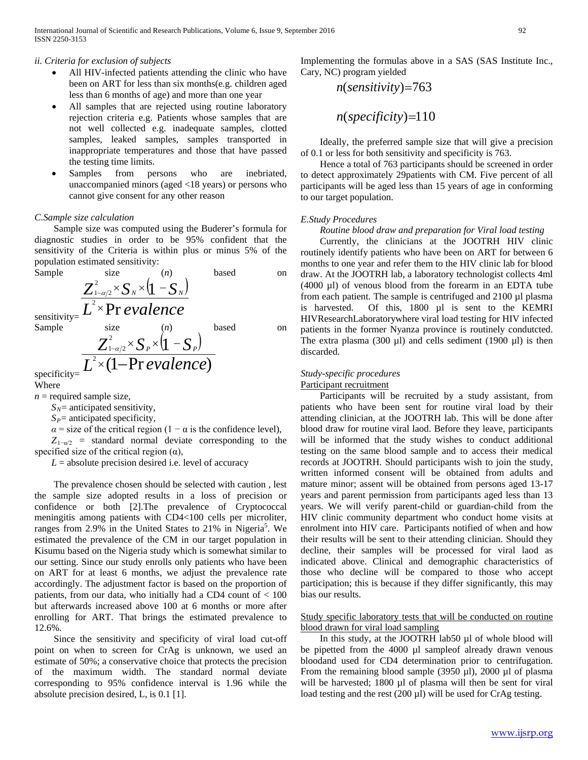## *ii. Criteria for exclusion of subjects*

- All HIV-infected patients attending the clinic who have been on ART for less than six months(e.g. children aged less than 6 months of age) and more than one year
- All samples that are rejected using routine laboratory rejection criteria e.g. Patients whose samples that are not well collected e.g. inadequate samples, clotted samples, leaked samples, samples transported in inappropriate temperatures and those that have passed the testing time limits.
- Samples from persons who are inebriated, unaccompanied minors (aged <18 years) or persons who cannot give consent for any other reason

## *C.Sample size calculation*

 Sample size was computed using the Buderer's formula for diagnostic studies in order to be 95% confident that the sensitivity of the Criteria is within plus or minus 5% of the population estimated sensitivity:

Sample size (*n*) based on sensitivity=  $(1 - S_{\nu})$ *L evalence*  $\overline{Z}_{1-\alpha/2}^2$   $\times$   $S_N$   $\times$   $(1$   $-S_N$ Pr  $\sum_{\substack{\ell_{1-\alpha/2}\2 \leq \ell \leq N}}^2 \times S_{N} \times (1)$ 2  $1-\alpha/2$ ×  $\sum_{-\alpha/2}^{\infty} \times S_{N} \times (1 -$ Sample size (*n*) based on  $(1 - S_n)$  $\overline{1}$ 2  $\overline{Z}^{\scriptscriptstyle{Z}}_{\scriptscriptstyle{1-\alpha/2}}$   $\times$   $S$   $_{P}$   $\times$   $(1$   $S$   $_{P}$  $\sum_{-\alpha/2}^{\infty} \times S_{P} \times (1 -$ 

(1-Pr evalence)

*L evalence*

specificity=

Where

 $n$  = required sample size,

 $S_N$ = anticipated sensitivity,

2

 $S_P$ = anticipated specificity,

 $1-\alpha/2$ 

 $\times(1-$ 

 $\alpha$  = size of the critical region (1 –  $\alpha$  is the confidence level),

 $Z_{1-\alpha/2}$  = standard normal deviate corresponding to the specified size of the critical region  $(\alpha)$ ,

 $L =$  absolute precision desired i.e. level of accuracy

 The prevalence chosen should be selected with caution , lest the sample size adopted results in a loss of precision or confidence or both [2].The prevalence of Cryptococcal meningitis among patients with CD4<100 cells per microliter, ranges from 2.9% in the United States to 21% in Nigeria<sup>5</sup>. We estimated the prevalence of the CM in our target population in Kisumu based on the Nigeria study which is somewhat similar to our setting. Since our study enrolls only patients who have been on ART for at least 6 months, we adjust the prevalence rate accordingly. The adjustment factor is based on the proportion of patients, from our data, who initially had a CD4 count of  $< 100$ but afterwards increased above 100 at 6 months or more after enrolling for ART. That brings the estimated prevalence to 12.6%.

 Since the sensitivity and specificity of viral load cut-off point on when to screen for CrAg is unknown, we used an estimate of 50%; a conservative choice that protects the precision of the maximum width. The standard normal deviate corresponding to 95% confidence interval is 1.96 while the absolute precision desired, L, is 0.1 [1].

Implementing the formulas above in a SAS (SAS Institute Inc., Cary, NC) program yielded

$$
n(sensitivity)=763
$$

*n*(*specificity*)=110

 Ideally, the preferred sample size that will give a precision of 0.1 or less for both sensitivity and specificity is 763.

 Hence a total of 763 participants should be screened in order to detect approximately 29patients with CM. Five percent of all participants will be aged less than 15 years of age in conforming to our target population.

## *E.Study Procedures*

## *Routine blood draw and preparation for Viral load testing*

 Currently, the clinicians at the JOOTRH HIV clinic routinely identify patients who have been on ART for between 6 months to one year and refer them to the HIV clinic lab for blood draw. At the JOOTRH lab, a laboratory technologist collects 4ml (4000 µl) of venous blood from the forearm in an EDTA tube from each patient. The sample is centrifuged and 2100 µl plasma is harvested. Of this, 1800 µl is sent to the KEMRI HIVResearchLaboratorywhere viral load testing for HIV infected patients in the former Nyanza province is routinely condutcted. The extra plasma (300  $\mu$ l) and cells sediment (1900  $\mu$ l) is then discarded.

## *Study-specific procedures*

## Participant recruitment

 Participants will be recruited by a study assistant, from patients who have been sent for routine viral load by their attending clinician, at the JOOTRH lab. This will be done after blood draw for routine viral laod. Before they leave, participants will be informed that the study wishes to conduct additional testing on the same blood sample and to access their medical records at JOOTRH. Should participants wish to join the study, written informed consent will be obtained from adults and mature minor; assent will be obtained from persons aged 13-17 years and parent permission from participants aged less than 13 years. We will verify parent-child or guardian-child from the HIV clinic community department who conduct home visits at enrolment into HIV care. Participants notified of when and how their results will be sent to their attending clinician. Should they decline, their samples will be processed for viral laod as indicated above. Clinical and demographic characteristics of those who decline will be compared to those who accept participation; this is because if they differ significantly, this may bias our results.

## Study specific laboratory tests that will be conducted on routine blood drawn for viral load sampling

 In this study, at the JOOTRH lab50 µl of whole blood will be pipetted from the 4000 µl sampleof already drawn venous bloodand used for CD4 determination prior to centrifugation. From the remaining blood sample (3950  $\mu$ l), 2000  $\mu$ l of plasma will be harvested; 1800 µl of plasma will then be sent for viral load testing and the rest (200 µl) will be used for CrAg testing.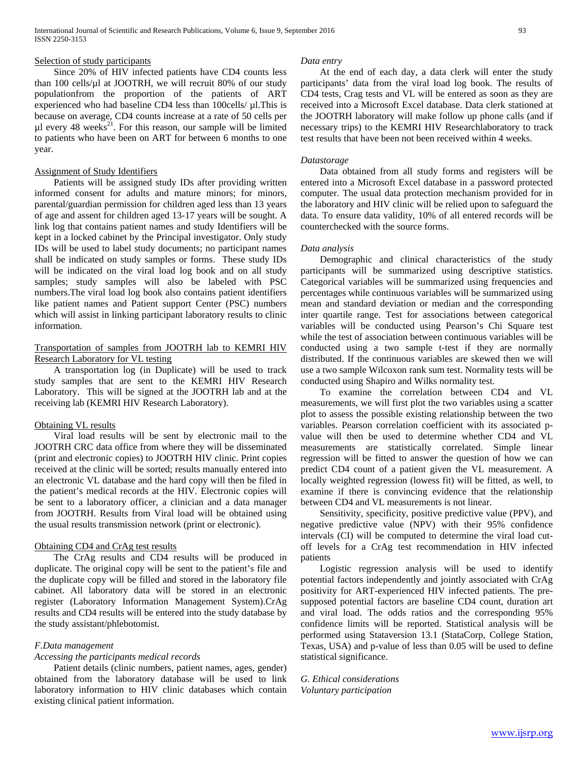#### Selection of study participants

 Since 20% of HIV infected patients have CD4 counts less than 100 cells/µl at JOOTRH, we will recruit 80% of our study populationfrom the proportion of the patients of ART experienced who had baseline CD4 less than 100cells/ µl.This is because on average, CD4 counts increase at a rate of 50 cells per  $\mu$ l every 48 weeks<sup>21</sup>. For this reason, our sample will be limited to patients who have been on ART for between 6 months to one year.

#### Assignment of Study Identifiers

 Patients will be assigned study IDs after providing written informed consent for adults and mature minors; for minors, parental/guardian permission for children aged less than 13 years of age and assent for children aged 13-17 years will be sought. A link log that contains patient names and study Identifiers will be kept in a locked cabinet by the Principal investigator. Only study IDs will be used to label study documents; no participant names shall be indicated on study samples or forms. These study IDs will be indicated on the viral load log book and on all study samples; study samples will also be labeled with PSC numbers.The viral load log book also contains patient identifiers like patient names and Patient support Center (PSC) numbers which will assist in linking participant laboratory results to clinic information.

## Transportation of samples from JOOTRH lab to KEMRI HIV Research Laboratory for VL testing

 A transportation log (in Duplicate) will be used to track study samples that are sent to the KEMRI HIV Research Laboratory. This will be signed at the JOOTRH lab and at the receiving lab (KEMRI HIV Research Laboratory).

#### Obtaining VL results

 Viral load results will be sent by electronic mail to the JOOTRH CRC data office from where they will be disseminated (print and electronic copies) to JOOTRH HIV clinic. Print copies received at the clinic will be sorted; results manually entered into an electronic VL database and the hard copy will then be filed in the patient's medical records at the HIV. Electronic copies will be sent to a laboratory officer, a clinician and a data manager from JOOTRH. Results from Viral load will be obtained using the usual results transmission network (print or electronic).

#### Obtaining CD4 and CrAg test results

 The CrAg results and CD4 results will be produced in duplicate. The original copy will be sent to the patient's file and the duplicate copy will be filled and stored in the laboratory file cabinet. All laboratory data will be stored in an electronic register (Laboratory Information Management System).CrAg results and CD4 results will be entered into the study database by the study assistant/phlebotomist.

## *F.Data management*

#### *Accessing the participants medical records*

 Patient details (clinic numbers, patient names, ages, gender) obtained from the laboratory database will be used to link laboratory information to HIV clinic databases which contain existing clinical patient information.

#### *Data entry*

 At the end of each day, a data clerk will enter the study participants' data from the viral load log book. The results of CD4 tests, Crag tests and VL will be entered as soon as they are received into a Microsoft Excel database. Data clerk stationed at the JOOTRH laboratory will make follow up phone calls (and if necessary trips) to the KEMRI HIV Researchlaboratory to track test results that have been not been received within 4 weeks.

#### *Datastorage*

 Data obtained from all study forms and registers will be entered into a Microsoft Excel database in a password protected computer. The usual data protection mechanism provided for in the laboratory and HIV clinic will be relied upon to safeguard the data. To ensure data validity, 10% of all entered records will be counterchecked with the source forms.

#### *Data analysis*

 Demographic and clinical characteristics of the study participants will be summarized using descriptive statistics. Categorical variables will be summarized using frequencies and percentages while continuous variables will be summarized using mean and standard deviation or median and the corresponding inter quartile range. Test for associations between categorical variables will be conducted using Pearson's Chi Square test while the test of association between continuous variables will be conducted using a two sample t-test if they are normally distributed. If the continuous variables are skewed then we will use a two sample Wilcoxon rank sum test. Normality tests will be conducted using Shapiro and Wilks normality test.

 To examine the correlation between CD4 and VL measurements, we will first plot the two variables using a scatter plot to assess the possible existing relationship between the two variables. Pearson correlation coefficient with its associated pvalue will then be used to determine whether CD4 and VL measurements are statistically correlated. Simple linear regression will be fitted to answer the question of how we can predict CD4 count of a patient given the VL measurement. A locally weighted regression (lowess fit) will be fitted, as well, to examine if there is convincing evidence that the relationship between CD4 and VL measurements is not linear.

 Sensitivity, specificity, positive predictive value (PPV), and negative predictive value (NPV) with their 95% confidence intervals (CI) will be computed to determine the viral load cutoff levels for a CrAg test recommendation in HIV infected patients

 Logistic regression analysis will be used to identify potential factors independently and jointly associated with CrAg positivity for ART-experienced HIV infected patients. The presupposed potential factors are baseline CD4 count, duration art and viral load. The odds ratios and the corresponding 95% confidence limits will be reported. Statistical analysis will be performed using Stataversion 13.1 (StataCorp, College Station, Texas, USA) and p-value of less than 0.05 will be used to define statistical significance.

*G. Ethical considerations Voluntary participation*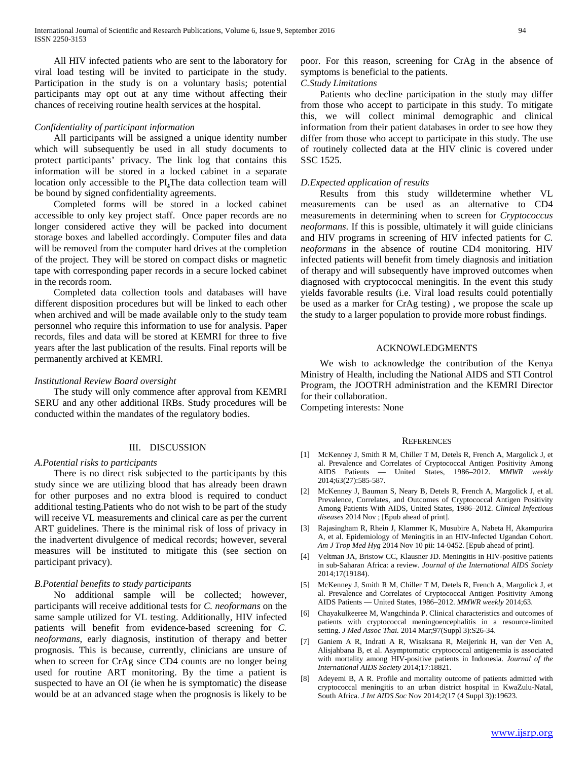All HIV infected patients who are sent to the laboratory for viral load testing will be invited to participate in the study. Participation in the study is on a voluntary basis; potential participants may opt out at any time without affecting their chances of receiving routine health services at the hospital.

#### *Confidentiality of participant information*

 All participants will be assigned a unique identity number which will subsequently be used in all study documents to protect participants' privacy. The link log that contains this information will be stored in a locked cabinet in a separate location only accessible to the PI**.**The data collection team will be bound by signed confidentiality agreements.

 Completed forms will be stored in a locked cabinet accessible to only key project staff. Once paper records are no longer considered active they will be packed into document storage boxes and labelled accordingly. Computer files and data will be removed from the computer hard drives at the completion of the project. They will be stored on compact disks or magnetic tape with corresponding paper records in a secure locked cabinet in the records room.

 Completed data collection tools and databases will have different disposition procedures but will be linked to each other when archived and will be made available only to the study team personnel who require this information to use for analysis. Paper records, files and data will be stored at KEMRI for three to five years after the last publication of the results. Final reports will be permanently archived at KEMRI.

#### *Institutional Review Board oversight*

 The study will only commence after approval from KEMRI SERU and any other additional IRBs. Study procedures will be conducted within the mandates of the regulatory bodies.

#### III. DISCUSSION

#### *A.Potential risks to participants*

 There is no direct risk subjected to the participants by this study since we are utilizing blood that has already been drawn for other purposes and no extra blood is required to conduct additional testing.Patients who do not wish to be part of the study will receive VL measurements and clinical care as per the current ART guidelines. There is the minimal risk of loss of privacy in the inadvertent divulgence of medical records; however, several measures will be instituted to mitigate this (see section on participant privacy).

#### *B.Potential benefits to study participants*

 No additional sample will be collected; however, participants will receive additional tests for *C. neoformans* on the same sample utilized for VL testing. Additionally, HIV infected patients will benefit from evidence-based screening for *C. neoformans*, early diagnosis, institution of therapy and better prognosis. This is because, currently, clinicians are unsure of when to screen for CrAg since CD4 counts are no longer being used for routine ART monitoring. By the time a patient is suspected to have an OI (ie when he is symptomatic) the disease would be at an advanced stage when the prognosis is likely to be

poor. For this reason, screening for CrAg in the absence of symptoms is beneficial to the patients.

## *C.Study Limitations*

 Patients who decline participation in the study may differ from those who accept to participate in this study. To mitigate this, we will collect minimal demographic and clinical information from their patient databases in order to see how they differ from those who accept to participate in this study. The use of routinely collected data at the HIV clinic is covered under SSC 1525.

#### *D.Expected application of results*

 Results from this study willdetermine whether VL measurements can be used as an alternative to CD4 measurements in determining when to screen for *Cryptococcus neoformans*. If this is possible, ultimately it will guide clinicians and HIV programs in screening of HIV infected patients for *C. neoformans* in the absence of routine CD4 monitoring. HIV infected patients will benefit from timely diagnosis and initiation of therapy and will subsequently have improved outcomes when diagnosed with cryptococcal meningitis. In the event this study yields favorable results (i.e. Viral load results could potentially be used as a marker for CrAg testing) , we propose the scale up the study to a larger population to provide more robust findings.

#### ACKNOWLEDGMENTS

 We wish to acknowledge the contribution of the Kenya Ministry of Health, including the National AIDS and STI Control Program, the JOOTRH administration and the KEMRI Director for their collaboration.

Competing interests: None

#### **REFERENCES**

- [1] McKenney J, Smith R M, Chiller T M, Detels R, French A, Margolick J, et al. Prevalence and Correlates of Cryptococcal Antigen Positivity Among AIDS Patients — United States, 1986–2012. *MMWR weekly* 2014;63(27):585-587.
- [2] McKenney J, Bauman S, Neary B, Detels R, French A, Margolick J, et al. Prevalence, Correlates, and Outcomes of Cryptococcal Antigen Positivity Among Patients With AIDS, United States, 1986–2012. *Clinical Infectious diseases* 2014 Nov ; [Epub ahead of print].
- [3] Rajasingham R, Rhein J, Klammer K, Musubire A, Nabeta H, Akampurira A, et al. Epidemiology of Meningitis in an HIV-Infected Ugandan Cohort. *Am J Trop Med Hyg* 2014 Nov 10 pii: 14-0452. [Epub ahead of print].
- [4] Veltman JA, Bristow CC, Klausner JD. Meningitis in HIV-positive patients in sub-Saharan Africa: a review. *Journal of the International AIDS Society* 2014;17(19184).
- [5] McKenney J, Smith R M, Chiller T M, Detels R, French A, Margolick J, et al. Prevalence and Correlates of Cryptococcal Antigen Positivity Among AIDS Patients — United States, 1986–2012. *MMWR weekly* 2014;63.
- [6] Chayakulkeeree M, Wangchinda P. Clinical characteristics and outcomes of patients with cryptococcal meningoencephalitis in a resource-limited setting. *J Med Assoc Thai.* 2014 Mar;97(Suppl 3):S26-34.
- [7] Ganiem A R, Indrati A R, Wisaksana R, Meijerink H, van der Ven A, Alisjahbana B, et al. Asymptomatic cryptococcal antigenemia is associated with mortality among HIV-positive patients in Indonesia. *Journal of the International AIDS Society* 2014;17:18821.
- [8] Adeyemi B, A R. Profile and mortality outcome of patients admitted with cryptococcal meningitis to an urban district hospital in KwaZulu-Natal, South Africa. *J Int AIDS Soc* Nov 2014;2(17 (4 Suppl 3)):19623.